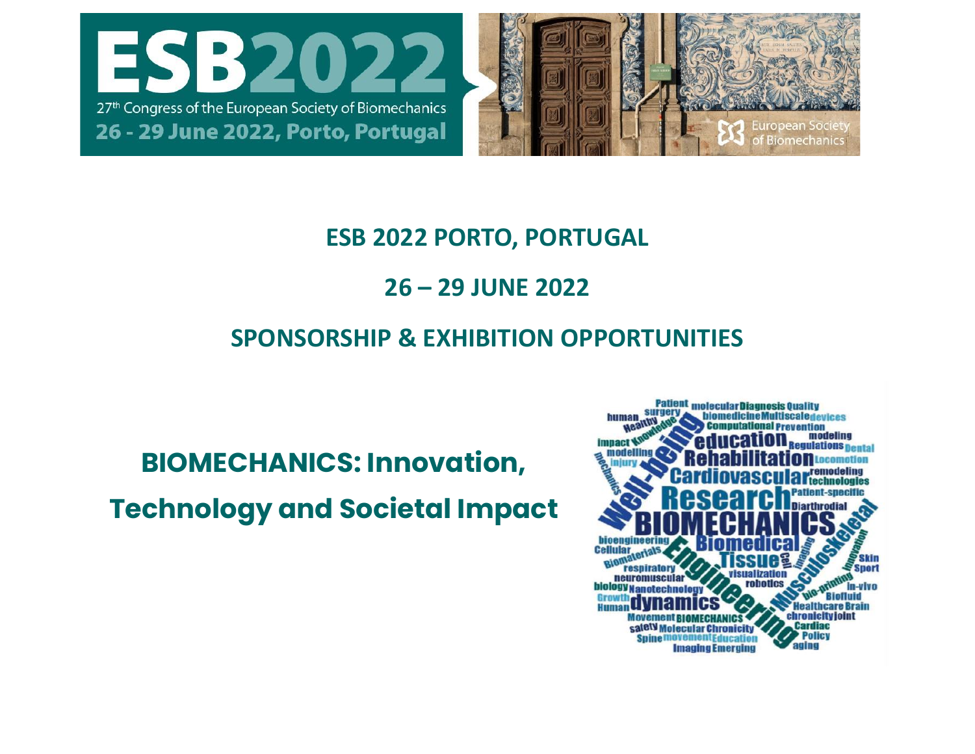



## **ESB 2022 PORTO, PORTUGAL**

# **26 – 29 JUNE 2022**

# **SPONSORSHIP & EXHIBITION OPPORTUNITIES**

# **BIOMECHANICS: Innovation,**

# **Technology and Societal Impact**

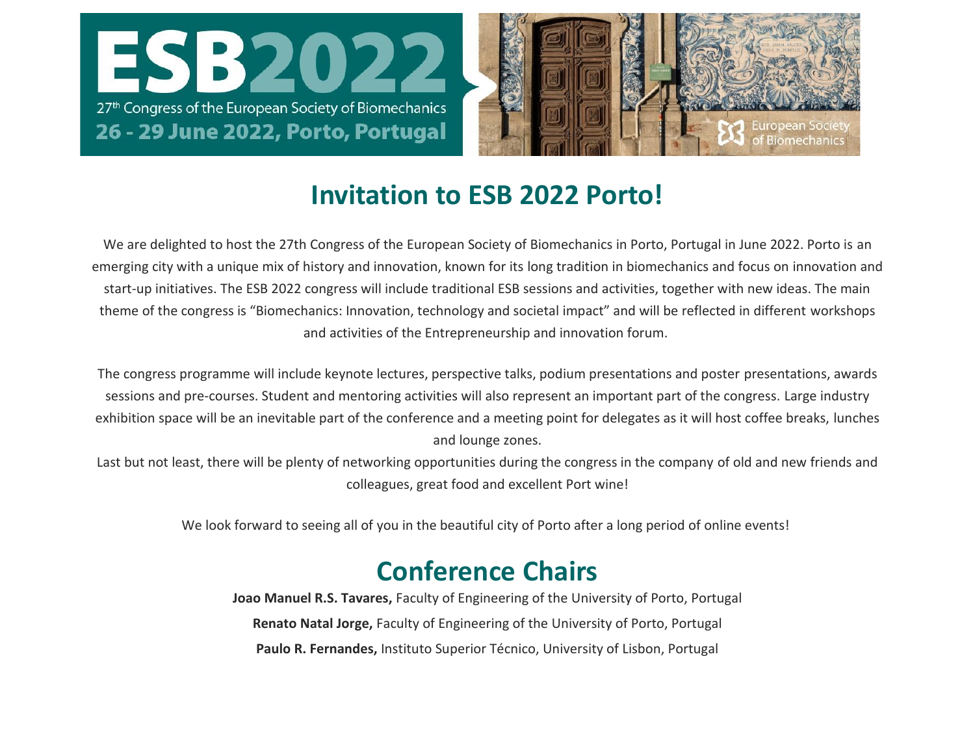



# **Invitation to ESB 2022 Porto!**

We are delighted to host the 27th Congress of the European Society of Biomechanics in Porto, Portugal in June 2022. Porto is an emerging city with a unique mix of history and innovation, known for its long tradition in biomechanics and focus on innovation and start-up initiatives. The ESB 2022 congress will include traditional ESB sessions and activities, together with new ideas. The main theme of the congress is "Biomechanics: Innovation, technology and societal impact" and will be reflected in different workshops and activities of the Entrepreneurship and innovation forum.

The congress programme will include keynote lectures, perspective talks, podium presentations and poster presentations, awards sessions and pre-courses. Student and mentoring activities will also represent an important part of the congress. Large industry exhibition space will be an inevitable part of the conference and a meeting point for delegates as it will host coffee breaks, lunches and lounge zones.

Last but not least, there will be plenty of networking opportunities during the congress in the company of old and new friends and colleagues, great food and excellent Port wine!

We look forward to seeing all of you in the beautiful city of Porto after a long period of online events!

# **Conference Chairs**

**Joao Manuel R.S. Tavares,** Faculty of Engineering of the University of Porto, Portugal **Renato Natal Jorge,** Faculty of Engineering of the University of Porto, Portugal **Paulo R. Fernandes,** Instituto Superior Técnico, University of Lisbon, Portugal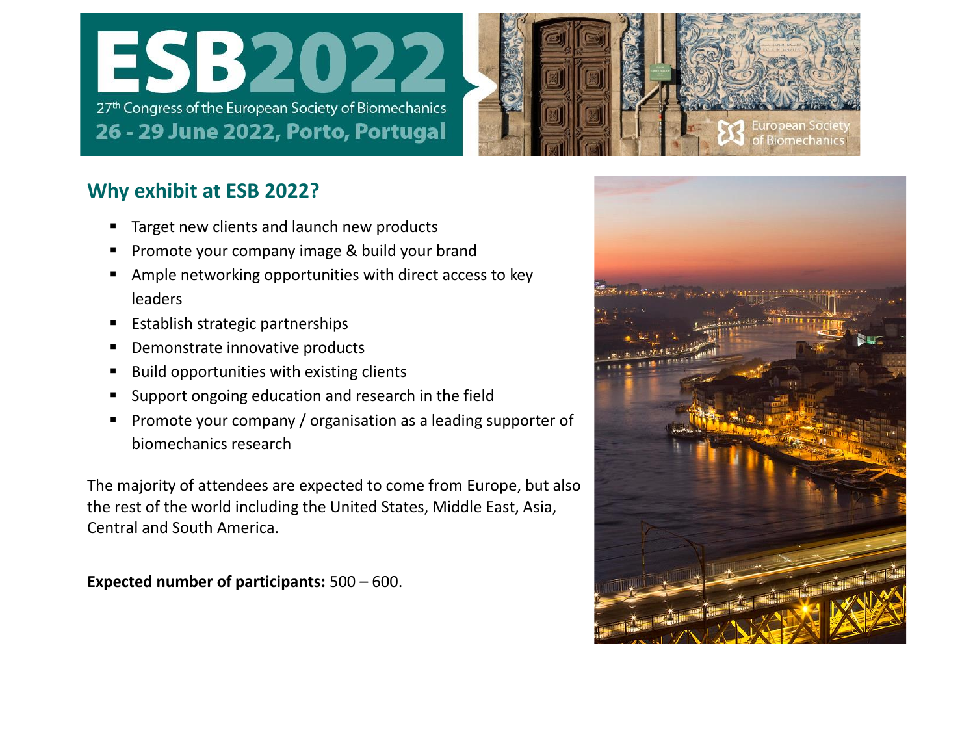



#### **Why exhibit at ESB 2022?**

- Target new clients and launch new products
- Promote your company image & build your brand
- Ample networking opportunities with direct access to key leaders
- Establish strategic partnerships
- Demonstrate innovative products
- Build opportunities with existing clients
- Support ongoing education and research in the field
- Promote your company / organisation as a leading supporter of biomechanics research

The majority of attendees are expected to come from Europe, but also the rest of the world including the United States, Middle East, Asia, Central and South America.

**Expected number of participants:** 500 – 600.

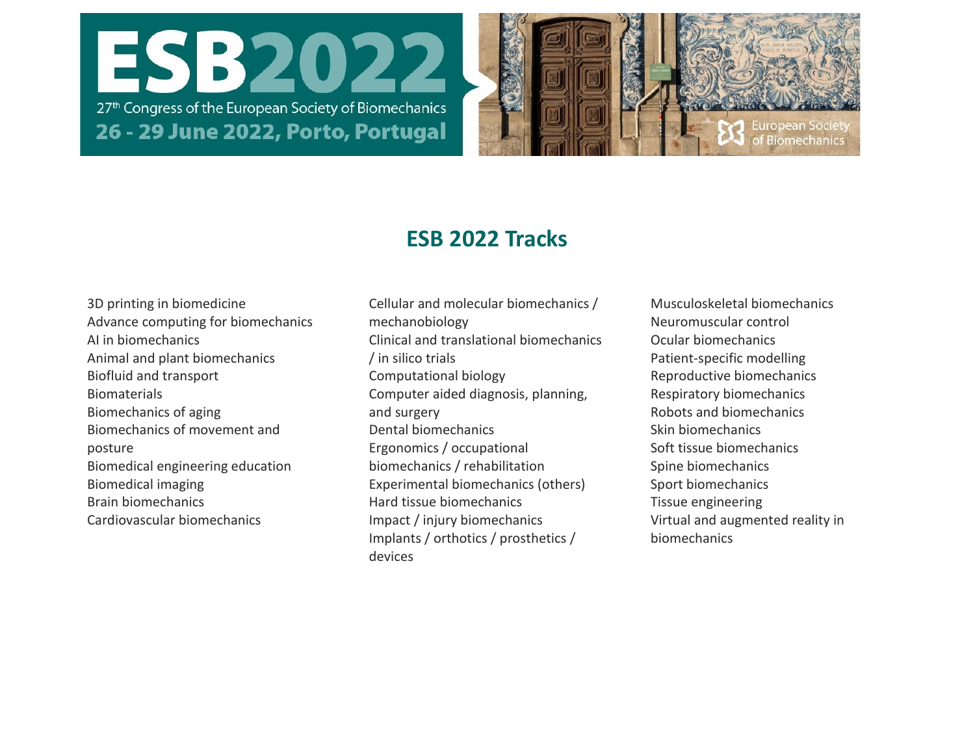



### **ESB 2022 Tracks**

- 3D printing in biomedicine Advance computing for biomechanics AI in biomechanics Animal and plant biomechanics Biofluid and transport Biomaterials Biomechanics of aging Biomechanics of movement and posture Biomedical engineering education Biomedical imaging Brain biomechanics Cardiovascular biomechanics
- Cellular and molecular biomechanics / mechanobiology Clinical and translational biomechanics / in silico trials Computational biology Computer aided diagnosis, planning, and surgery Dental biomechanics Ergonomics / occupational biomechanics / rehabilitation Experimental biomechanics (others) Hard tissue biomechanics Impact / injury biomechanics Implants / orthotics / prosthetics / devices
- Musculoskeletal biomechanics Neuromuscular control Ocular biomechanics Patient-specific modelling Reproductive biomechanics Respiratory biomechanics Robots and biomechanics Skin biomechanics Soft tissue biomechanics Spine biomechanics Sport biomechanics Tissue engineering Virtual and augmented reality in biomechanics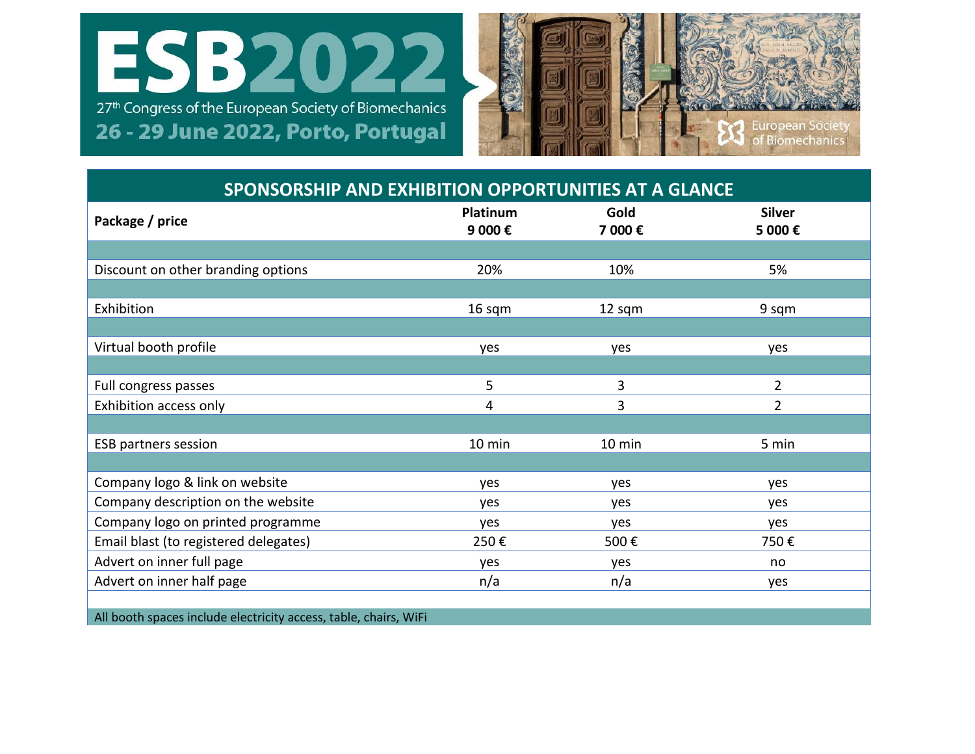



| SPONSORSHIP AND EXHIBITION OPPORTUNITIES AT A GLANCE |                    |                |                         |  |  |
|------------------------------------------------------|--------------------|----------------|-------------------------|--|--|
| Package / price                                      | Platinum<br>9 000€ | Gold<br>7 000€ | <b>Silver</b><br>5 000€ |  |  |
|                                                      |                    |                |                         |  |  |
| Discount on other branding options                   | 20%                | 10%            | 5%                      |  |  |
|                                                      |                    |                |                         |  |  |
| Exhibition                                           | 16 sqm             | 12 sqm         | 9 sqm                   |  |  |
|                                                      |                    |                |                         |  |  |
| Virtual booth profile                                | yes                | yes            | yes                     |  |  |
|                                                      |                    |                |                         |  |  |
| Full congress passes                                 | 5                  | 3              | $\overline{2}$          |  |  |
| Exhibition access only                               | 4                  | 3              | $\overline{2}$          |  |  |
|                                                      |                    |                |                         |  |  |
| <b>ESB partners session</b>                          | 10 min             | 10 min         | 5 min                   |  |  |
|                                                      |                    |                |                         |  |  |
| Company logo & link on website                       | yes                | yes            | yes                     |  |  |
| Company description on the website                   | yes                | yes            | yes                     |  |  |
| Company logo on printed programme                    | yes                | yes            | yes                     |  |  |
| Email blast (to registered delegates)                | 250€               | 500€           | 750€                    |  |  |
| Advert on inner full page                            | yes                | yes            | no                      |  |  |
| Advert on inner half page                            | n/a                | n/a            | yes                     |  |  |
|                                                      |                    |                |                         |  |  |

All booth spaces include electricity access, table, chairs, WiFi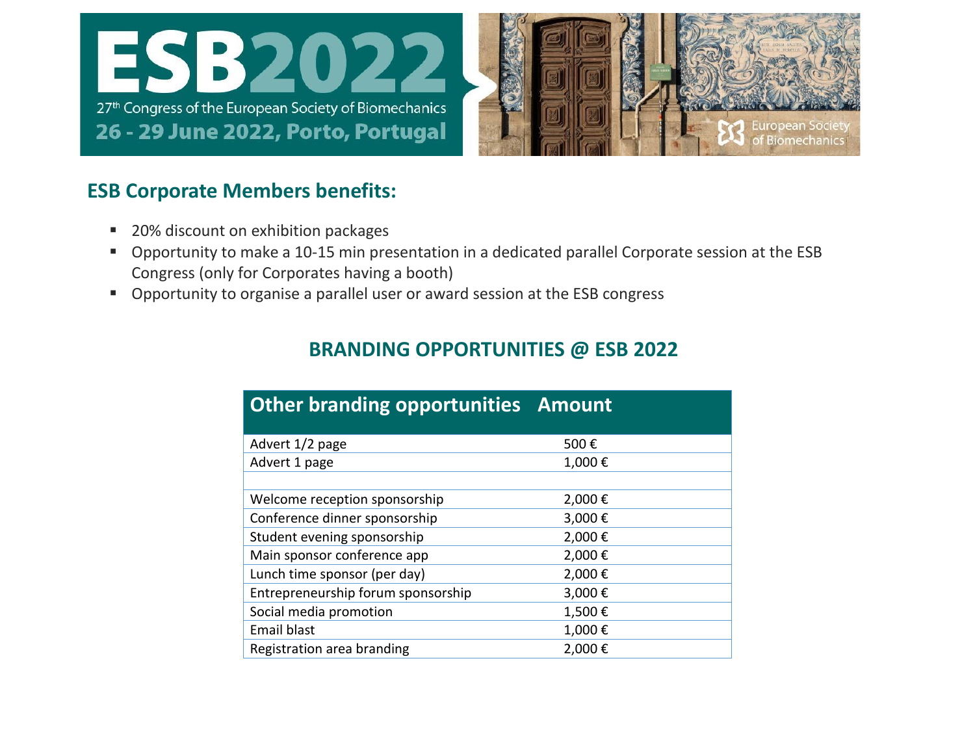



#### **ESB Corporate Members benefits:**

- 20% discount on exhibition packages
- Opportunity to make a 10-15 min presentation in a dedicated parallel Corporate session at the ESB Congress (only for Corporates having a booth)
- Opportunity to organise a parallel user or award session at the ESB congress

#### **BRANDING OPPORTUNITIES @ ESB 2022**

| <b>Other branding opportunities Amount</b> |        |  |
|--------------------------------------------|--------|--|
| Advert 1/2 page                            | 500€   |  |
| Advert 1 page                              | 1,000€ |  |
|                                            |        |  |
| Welcome reception sponsorship              | 2,000€ |  |
| Conference dinner sponsorship              | 3,000€ |  |
| Student evening sponsorship                | 2,000€ |  |
| Main sponsor conference app                | 2,000€ |  |
| Lunch time sponsor (per day)               | 2,000€ |  |
| Entrepreneurship forum sponsorship         | 3,000€ |  |
| Social media promotion                     | 1,500€ |  |
| <b>Email blast</b>                         | 1,000€ |  |
| Registration area branding                 | 2,000€ |  |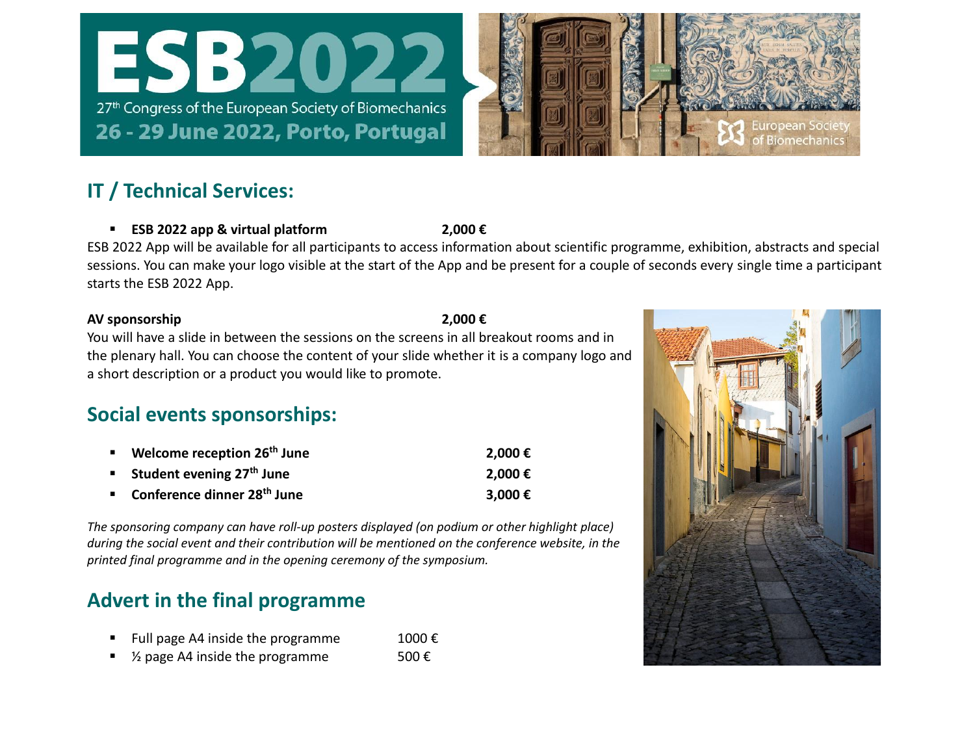



#### **IT / Technical Services:**

▪ **ESB 2022 app & virtual platform 2,000 €**

ESB 2022 App will be available for all participants to access information about scientific programme, exhibition, abstracts and special sessions. You can make your logo visible at the start of the App and be present for a couple of seconds every single time a participant starts the ESB 2022 App.

#### **AV sponsorship 2,000 €**

You will have a slide in between the sessions on the screens in all breakout rooms and in the plenary hall. You can choose the content of your slide whether it is a company logo and a short description or a product you would like to promote.

#### **Social events sponsorships:**

| ■ Welcome reception 26 <sup>th</sup> June | 2,000€  |
|-------------------------------------------|---------|
| <b>Student evening 27th June</b>          | 2,000€  |
| Conference dinner 28 <sup>th</sup> June   | 3,000 € |

*The sponsoring company can have roll-up posters displayed (on podium or other highlight place) during the social event and their contribution will be mentioned on the conference website, in the printed final programme and in the opening ceremony of the symposium.*

#### **Advert in the final programme**

- Full page A4 inside the programme 1000 €
- $\frac{1}{2}$  page A4 inside the programme 500  $\epsilon$

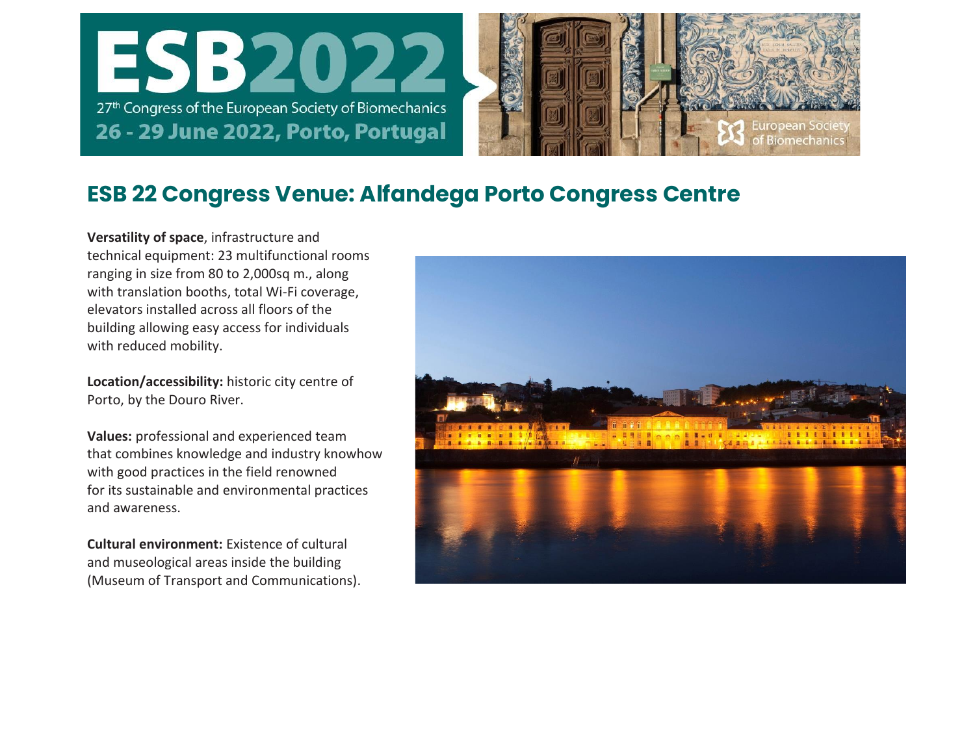



### **ESB 22 Congress Venue: Alfandega Porto Congress Centre**

**Versatility of space**, infrastructure and technical equipment: 23 multifunctional rooms ranging in size from 80 to 2,000sq m., along with translation booths, total Wi-Fi coverage, elevators installed across all floors of the building allowing easy access for individuals with reduced mobility.

**Location/accessibility:** historic city centre of Porto, by the Douro River.

**Values:** professional and experienced team that combines knowledge and industry knowhow with good practices in the field renowned for its sustainable and environmental practices and awareness.

**Cultural environment:** Existence of cultural and museological areas inside the building (Museum of Transport and Communications).

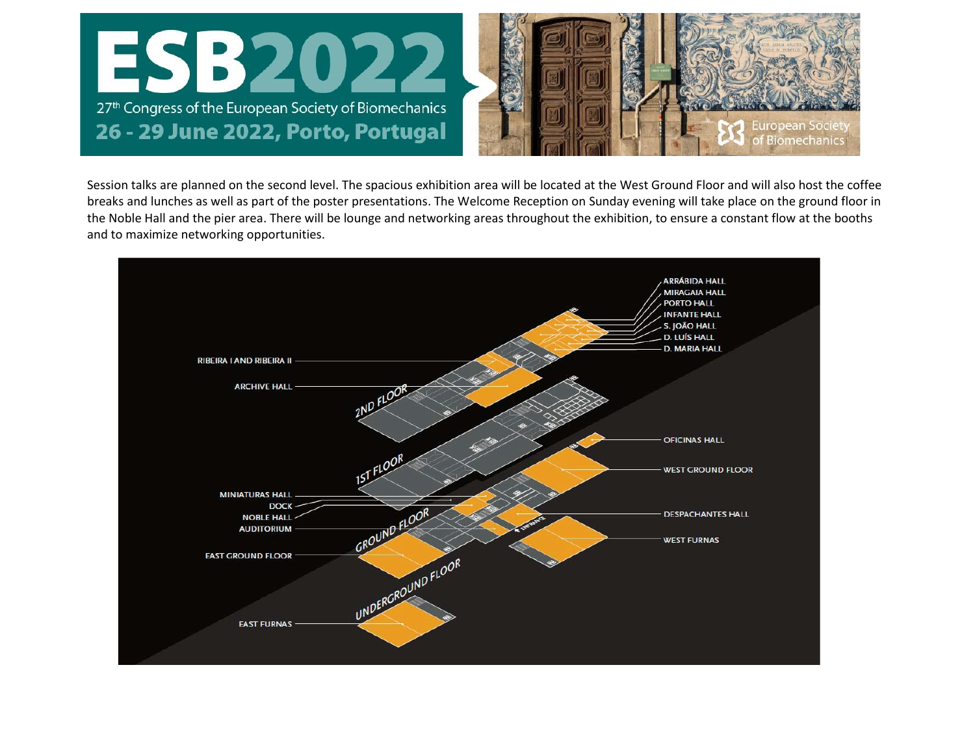

Session talks are planned on the second level. The spacious exhibition area will be located at the West Ground Floor and will also host the coffee breaks and lunches as well as part of the poster presentations. The Welcome Reception on Sunday evening will take place on the ground floor in the Noble Hall and the pier area. There will be lounge and networking areas throughout the exhibition, to ensure a constant flow at the booths and to maximize networking opportunities.